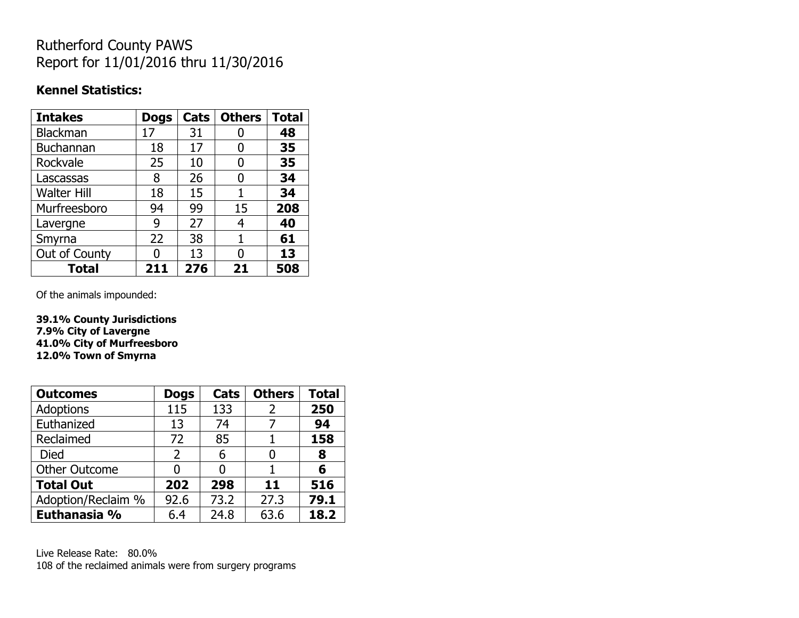## Rutherford County PAWS Report for 11/01/2016 thru 11/30/2016

#### **Kennel Statistics:**

| <b>Intakes</b>     | <b>Dogs</b> | Cats | <b>Others</b> | <b>Total</b> |
|--------------------|-------------|------|---------------|--------------|
| Blackman           | 17          | 31   | O             | 48           |
| <b>Buchannan</b>   | 18          | 17   | 0             | 35           |
| Rockvale           | 25          | 10   | 0             | 35           |
| Lascassas          | 8           | 26   | 0             | 34           |
| <b>Walter Hill</b> | 18          | 15   | 1             | 34           |
| Murfreesboro       | 94          | 99   | 15            | 208          |
| Lavergne           | 9           | 27   | 4             | 40           |
| Smyrna             | 22          | 38   | 1             | 61           |
| Out of County      | n           | 13   | O             | 13           |
| <b>Total</b>       | 211         | 276  | 21            | 508          |

Of the animals impounded:

**39.1% County Jurisdictions 7.9% City of Lavergne 41.0% City of Murfreesboro 12.0% Town of Smyrna**

| <b>Outcomes</b>      | <b>Dogs</b>    | Cats | <b>Others</b> | <b>Total</b> |
|----------------------|----------------|------|---------------|--------------|
| <b>Adoptions</b>     | 115            | 133  | 2             | 250          |
| Euthanized           | 13             | 74   | 7             | 94           |
| Reclaimed            | 72             | 85   |               | 158          |
| <b>Died</b>          | $\overline{2}$ | 6    | O             | 8            |
| <b>Other Outcome</b> | O              |      |               | 6            |
| <b>Total Out</b>     | 202            | 298  | 11            | 516          |
| Adoption/Reclaim %   | 92.6           | 73.2 | 27.3          | 79.1         |
| Euthanasia %         | 6.4            | 24.8 | 63.6          | 18.2         |

Live Release Rate: 80.0% 108 of the reclaimed animals were from surgery programs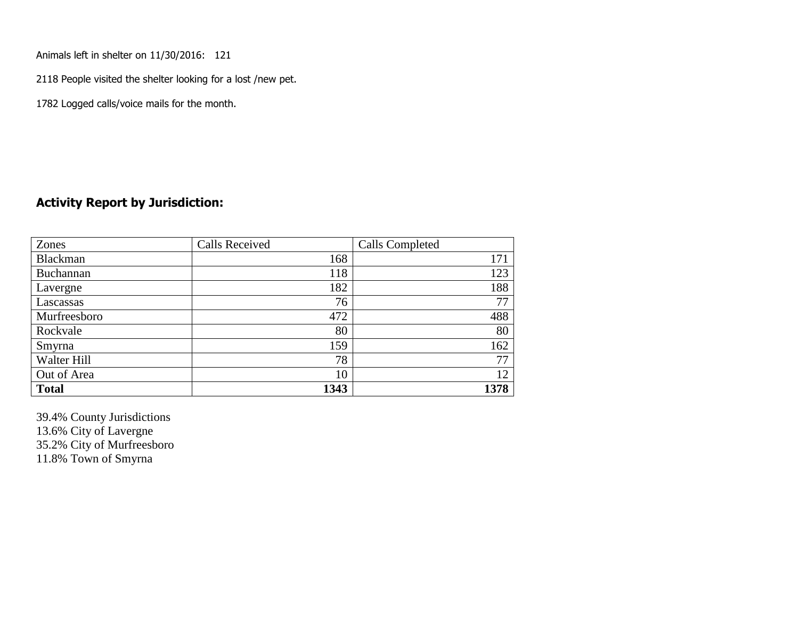Animals left in shelter on 11/30/2016: 121

2118 People visited the shelter looking for a lost /new pet.

1782 Logged calls/voice mails for the month.

#### **Activity Report by Jurisdiction:**

| Zones        | <b>Calls Received</b> | Calls Completed |
|--------------|-----------------------|-----------------|
| Blackman     | 168                   | 171             |
| Buchannan    | 118                   | 123             |
| Lavergne     | 182                   | 188             |
| Lascassas    | 76                    | 77              |
| Murfreesboro | 472                   | 488             |
| Rockvale     | 80                    | 80              |
| Smyrna       | 159                   | 162             |
| Walter Hill  | 78                    | 77              |
| Out of Area  | 10                    | 12              |
| <b>Total</b> | 1343                  | 1378            |

39.4% County Jurisdictions 13.6% City of Lavergne 35.2% City of Murfreesboro 11.8% Town of Smyrna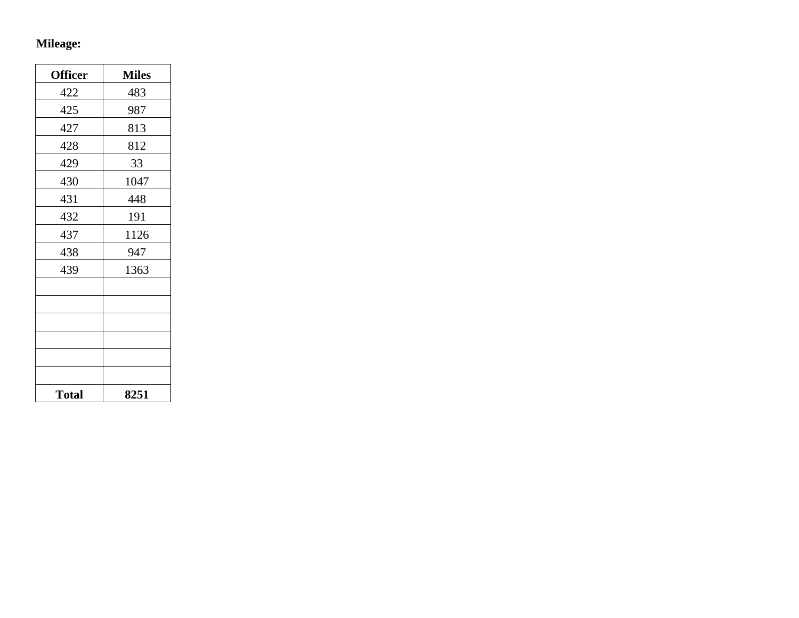# **Mileage:**

| <b>Officer</b> | <b>Miles</b> |
|----------------|--------------|
| 422            | 483          |
| 425            | 987          |
| 427            | 813          |
| 428            | 812          |
| 429            | 33           |
| 430            | 1047         |
| 431            | 448          |
| 432            | 191          |
| 437            | 1126         |
| 438            | 947          |
| 439            | 1363         |
|                |              |
|                |              |
|                |              |
|                |              |
|                |              |
|                |              |
| <b>Total</b>   | 8251         |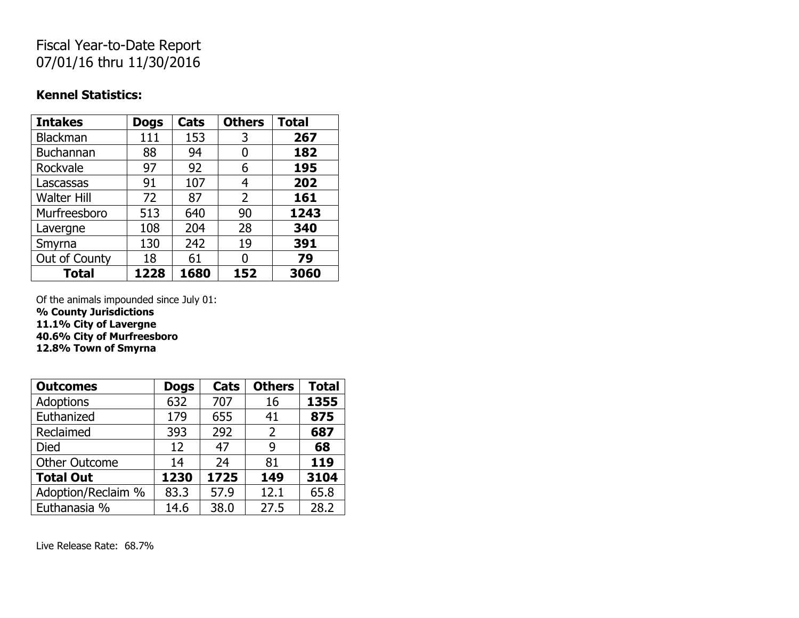# Fiscal Year-to-Date Report 07/01/16 thru 11/30/2016

#### **Kennel Statistics:**

| <b>Intakes</b>     | <b>Dogs</b> | Cats | <b>Others</b> | <b>Total</b> |
|--------------------|-------------|------|---------------|--------------|
| Blackman           | 111         | 153  | 3             | 267          |
| <b>Buchannan</b>   | 88          | 94   | 0             | 182          |
| Rockvale           | 97          | 92   | 6             | 195          |
| Lascassas          | 91          | 107  | 4             | 202          |
| <b>Walter Hill</b> | 72          | 87   | 2             | 161          |
| Murfreesboro       | 513         | 640  | 90            | 1243         |
| Lavergne           | 108         | 204  | 28            | 340          |
| Smyrna             | 130         | 242  | 19            | 391          |
| Out of County      | 18          | 61   | O             | 79           |
| <b>Total</b>       | 1228        | 1680 | 152           | 3060         |

Of the animals impounded since July 01:

**% County Jurisdictions**

**11.1% City of Lavergne**

**40.6% City of Murfreesboro**

**12.8% Town of Smyrna**

| <b>Outcomes</b>      | <b>Dogs</b> | Cats | <b>Others</b> | <b>Total</b> |
|----------------------|-------------|------|---------------|--------------|
| <b>Adoptions</b>     | 632         | 707  | 16            | 1355         |
| Euthanized           | 179         | 655  | 41            | 875          |
| Reclaimed            | 393         | 292  | 2             | 687          |
| <b>Died</b>          | 12          | 47   | 9             | 68           |
| <b>Other Outcome</b> | 14          | 24   | 81            | 119          |
| <b>Total Out</b>     | 1230        | 1725 | 149           | 3104         |
| Adoption/Reclaim %   | 83.3        | 57.9 | 12.1          | 65.8         |
| Euthanasia %         | 14.6        | 38.0 | 27.5          | 28.2         |

Live Release Rate: 68.7%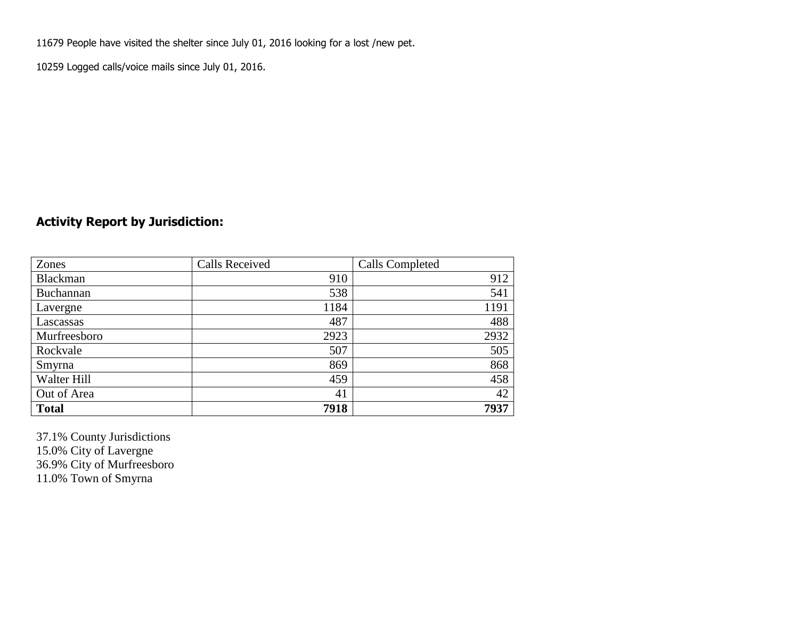11679 People have visited the shelter since July 01, 2016 looking for a lost /new pet.

10259 Logged calls/voice mails since July 01, 2016.

## **Activity Report by Jurisdiction:**

| Zones           | <b>Calls Received</b> | Calls Completed |
|-----------------|-----------------------|-----------------|
| <b>Blackman</b> | 910                   | 912             |
| Buchannan       | 538                   | 541             |
| Lavergne        | 1184                  | 1191            |
| Lascassas       | 487                   | 488             |
| Murfreesboro    | 2923                  | 2932            |
| Rockvale        | 507                   | 505             |
| Smyrna          | 869                   | 868             |
| Walter Hill     | 459                   | 458             |
| Out of Area     | 41                    | 42              |
| <b>Total</b>    | 7918                  | 7937            |

37.1% County Jurisdictions 15.0% City of Lavergne 36.9% City of Murfreesboro 11.0% Town of Smyrna